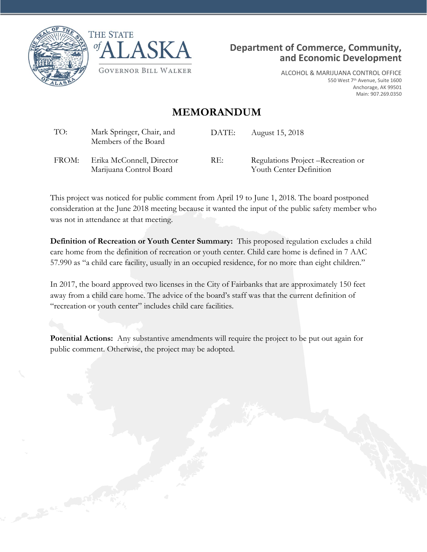





ALCOHOL & MARIJUANA CONTROL OFFICE 550 West 7<sup>th</sup> Avenue, Suite 1600 Anchorage, AK 99501 Main: 907.269.0350

## **MEMORANDUM**

| TO:   | Mark Springer, Chair, and<br>Members of the Board    | DATE: | August 15, 2018                                                |
|-------|------------------------------------------------------|-------|----------------------------------------------------------------|
| FROM: | Erika McConnell, Director<br>Marijuana Control Board | RE:   | Regulations Project – Recreation or<br>Youth Center Definition |

This project was noticed for public comment from April 19 to June 1, 2018. The board postponed consideration at the June 2018 meeting because it wanted the input of the public safety member who was not in attendance at that meeting.

**Definition of Recreation or Youth Center Summary:** This proposed regulation excludes a child care home from the definition of recreation or youth center. Child care home is defined in 7 AAC 57.990 as "a child care facility, usually in an occupied residence, for no more than eight children."

In 2017, the board approved two licenses in the City of Fairbanks that are approximately 150 feet away from a child care home. The advice of the board's staff was that the current definition of "recreation or youth center" includes child care facilities.

**Potential Actions:** Any substantive amendments will require the project to be put out again for public comment. Otherwise, the project may be adopted.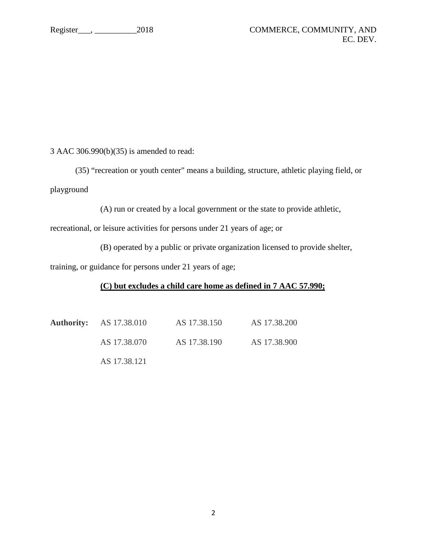3 AAC 306.990(b)(35) is amended to read:

(35) "recreation or youth center" means a building, structure, athletic playing field, or playground

(A) run or created by a local government or the state to provide athletic,

recreational, or leisure activities for persons under 21 years of age; or

(B) operated by a public or private organization licensed to provide shelter,

training, or guidance for persons under 21 years of age;

## **(C) but excludes a child care home as defined in 7 AAC 57.990;**

| <b>Authority:</b> AS 17.38.010 | AS 17.38.150 | AS 17.38.200 |
|--------------------------------|--------------|--------------|
| AS 17.38.070                   | AS 17.38.190 | AS 17.38.900 |
| AS 17.38.121                   |              |              |